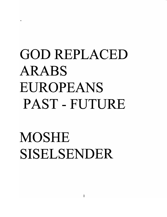# GOD REPLACED ARABS EUROPEANS PAST-FUTURE

MOSHE SISELSENDER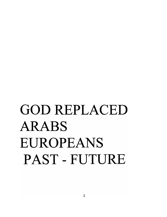# GOD REPLACED ARABS EUROPEANS PAST-FUTURE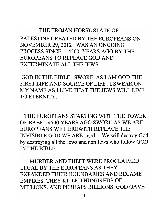#### THE TROJAN HORSE STATE OF

PALESTINE CREATED BY THE EUROPEANS ON NOVEMBER 29, 2012 WAS AN ONGOING PROCESS SINCE 4500 YEARS AGO BY THE EUROPEANS TO REPLACE GOD AND EXTERMINATE ALL THE JEWS.

GOD IN THE BIBLE SWORE AS I AM GOD THE FIRST LIFE AND SOURCE OF LIFE. I SWEAR ON MY NAME AS I LIVE THAT THE JEWS WILL LIVE TO ETERNITY.

THE EUROPEANS STARTING WITH THE TOWER OF BABEL 4500 YEARS AGO SWORE AS WE ARE EUROPEANS WE HEREWITH REPLACE THE INVISIBLE GOD WE ARE god. We will destroy God by destroying all the Jews and non Jews who follow GOD IN THE BIBLE .

MURDER AND THEFT WERE PROCLAIMED LEGAL BY THE EUROPEANS AS THEY EXPANDED THEIR BOUNDARIES AND BECAME EMPIRES. THEY KILLED HUNDREDS OF MILLIONS. AND PERHAPS BILLIONS. GOD GAVE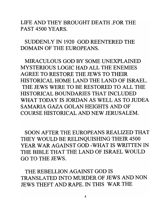LIFE AND THEY BROUGHT DEATH .FOR THE PAST 4500 YEARS.

SUDDENLY IN 1920 GOD REENTERED THE DOMAIN OF THE EUROPEANS.

MIRACULOUS GOD BY SOME UNEXPLAINED MYSTERIOUS LOGIC HAD ALL THE ENEMIES AGREE TO RESTORE THE JEWS TO THEIR HISTORICAL HOME LAND THE LAND OF ISRAEL. THE JEWS WERE TO BE RESTORED TO ALL THE HISTORICAL BOUNDARIES THAT INCLUDED WHAT TODAY IS JORDAN AS WELL AS TO JUDEA SAMARIA GAZA GOLAN HEIGHTS AND OF COURSE HISTORICAL AND NEW JERUSALEM.

SOON AFTER THE EUROPEANS REALIZED THAT THEY WOULD BE RELINQUISHING THEIR 4500 YEAR WAR AGAINST GOD -WHAT IS WRITTEN IN THE BIBLE THAT THE LAND OF ISRAEL WOULD GO TO THE JEWS.

THE REBELLION AGAINST GOD IS TRANSLATED INTO MURDER OF JEWS AND NON JEWS THEFT AND RAPE. IN THIS WAR THE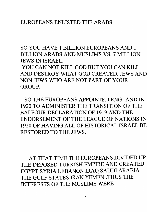#### EUROPEANS ENLISTED THE ARABS.

SO YOU HAVE 1 BILLION EUROPEANS AND 1 BILLION ARABS AND MUSLIMS VS. 7 MILLION JEWS IN ISRAEL.

YOU CAN NOT KILL GOD BUT YOU CAN KILL AND DESTROY WHAT GOD CREATED. JEWS AND NON JEWS WHO ARE NOT PART OF YOUR GROUP.

SO THE EUROPEANS APPOINTED ENGLAND IN 1920 TO ADMINISTER THE TRANSITION OF THE BALFOUR DECLARATION OF 1919 AND THE ENDORSEMENT OF THE LEAGUE OF NATIONS IN 1920 OF HAVING ALL OF HISTORICAL ISRAEL BE RESTORED TO THE JEWS.

AT THAT TIME THE EUROPEANS DIVIDED UP THE DEPOSED TURKISH EMPIRE AND CREATED EGYPT SYRIA LEBANON IRAQ SAUDI ARABIA THE GULF STATES IRAN YEMEN .THUS THE INTERESTS OF THE MUSLIMS WERE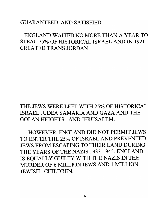#### GUARANTEED. AND SATISFIED.

## ENGLAND WAITED NO MORE THAN A YEAR TO STEAL 75% OF HISTORICAL ISRAEL AND IN 1921 CREATED TRANS JORDAN.

## THE JEWS WERE LEFT WITH 25% OF HISTORICAL ISRAEL JUDEA SAMARIA AND GAZA AND THE GOLAN HEIGHTS. AND JERUSALEM.

HOWEVER, ENGLAND DID NOT PERMIT JEWS TO ENTER THE 25% OF ISRAEL AND PREVENTED JEWS FROM ESCAPING TO THEIR LAND DURING THE YEARS OF THE NAZIS 1933-1945. ENGLAND IS EQUALLY GUILTY WITH THE NAZIS IN THE MURDER OF 6 MILLION JEWS AND 1 MILLION JEWISH CHILDREN.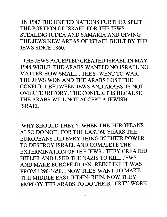IN 1947 THE UNITED NATIONS FURTHER SPLIT THE PORTION OF ISRAEL FOR THE JEWS STEALING JUDEA AND SAMARIA AND GIVING THE JEWS NEW AREAS OF ISRAEL BUILT BY THE JEWS SINCE 1860.

THE JEWS ACCEPTED CREATED ISRAEL IN MAY 1948 WHILE THE ARABS WANTED NO ISRAEL NO MATTER HOW SMALL. THEY WENT TO WAR. THE JEWS WON AND THE ARABS LOST THE CONFLICT BETWEEN JEWS AND ARABS IS NOT OVER TERRITORY. THE CONFLICT IS BECAUSE THE ARABS WILL NOT ACCEPT A JEWISH ISRAEL.

WHY SHOULD THEY? WHEN THE EUROPEANS ALSO DO NOT. FOR THE LAST 60 YEARS THE EUROPEANS DID EVRY THING IN THEIR POWER TO DESTROY ISRAEL AND COMPLETE THE EXTERMINATION OF THE JEWS. THEY CREATED HITLER AND USED THE NAZIS TO KILL JEWS AND MAKE EUROPE JUDEN- REIN LIKE IT WAS FROM 1290-1650. . NOW THEY WANT TO MAKE THE MIDDLE EAST JUDEN- REIN. NOW THEY EMPLOY THE ARABS TO DO THEIR DIRTY WORK.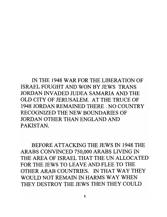IN THE 1948 WAR FOR THE LIBERATION OF ISRAEL FOUGHT AND WON BY JEWS TRANS JORDAN INVADED JUDEA SAMARIA AND THE OLD CITY OF JERUSALEM. AT THE TRUCE OF 1948 JORDAN REMAINED THERE. NO COUNTRY RECOGNIZED THE NEW BOUNDARIES OF JORDAN OTHER THAN ENGLAND AND PAKISTAN.

BEFORE ATTACKING THE JEWS IN 1948 THE ARABS CONVINCED 750,000 ARABS LIVING IN THE AREA OF ISRAEL THAT THE UN ALLOCATED FOR THE JEWS TO LEAVE AND FLEE TO THE OTHER ARAB COUNTRIES. IN THAT WAY THEY WOULD NOT REMAIN IN HARMS WAY WHEN THEY DESTROY THE JEWS THEN THEY COULD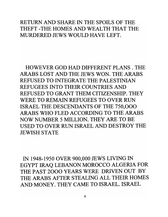#### RETURN AND SHARE IN THE SPOILS OF THE THEFT -THE HOMES AND WEALTH THAT THE MURDERED JEWS WOULD HAVE LEFT.

HOWEVER GOD HAD DIFFERENT PLANS. THE ARABS LOST AND THE JEWS WON. THE ARABS REFUSED TO INTEGRATE THE PALESTINIAN REFUGEES INTO THEIR COUNTRIES AND REFUSED TO GRANT THEM CITIZENSHIP. THEY WERE TO REMAIN REFUGEES TO OVER RUN ISRAEL THE DESCENDANTS OF THE 750,000 ARABS WHO FLED ACCORDING TO THE ARABS NOW NUMBER 5 MILLION. THEY ARE TO BE USED TO OVER RUN ISRAEL AND DESTROY THE JEWISH STATE

IN 1948-1950 OVER 900,000 JEWS LIVING IN EGYPT IRAQ LEBANON MOROCCO ALGERIA FOR THE PAST 2000 YEARS WERE DRIVEN OUT BY THE ARABS AFTER STEALING ALL THEIR HOMES AND MONEY. THEY CAME TO ISRAEL. ISRAEL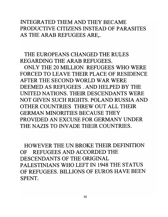### INTEGRA TED THEM AND THEY BECAME PRODUCTIVE CITIZENS INSTEAD OF PARASITES AS THE ARAB REFUGEES ARE,.

## THE EUROPEANS CHANGED THE RULES REGARDING THE ARAB REFUGEES.

ONLY THE 20 MILLION REFUGEES WHO WERE FORCED TO LEAVE THEIR PLACE OF RESIDENCE AFTER THE SECOND WORLD WAR WERE DEEMED AS REFUGEES. AND HELPED BY THE UNITED NATIONS. THEIR DESCENDANTS WERE NOT GIVEN SUCH RIGHTS. POLAND RUSSIA AND OTHER COUNTRIES THREW OUT ALL THEIR GERMAN MINORITIES BECAUSE THEY PROVIDED AN EXCUSE FOR GERMANY UNDER THE NAZIS TO INVADE THEIR COUNTRIES.

HOWEVER THE UN BROKE THEIR DEFINITION OF REFUGEES AND ACCORDED THE DESCENDANTS OF THE ORIGINAL PALESTINIANS WHO LEFT IN 1948 THE STATUS OF REFUGEES. BILLIONS OF EUROS HAVE BEEN SPENT.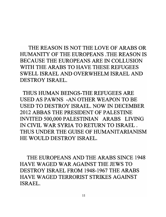THE REASON IS NOT THE LOVE OF ARABS OR HUMANITY OF THE EUROPEANS .THE REASON IS BECAUSE THE EUROPEANS ARE IN COLLUSION WITH THE ARABS TO HAVE THESE REFUGEES SWELL ISRAEL AND OVERWHELM ISRAEL AND DESTROY ISRAEL.

THUS HUMAN BEINGS-THE REFUGEES ARE USED AS PAWNS -AN OTHER WEAPON TO BE USED TO DESTROY ISRAEL. NOW IN DECEMBER 2012 ABBAS THE PRESIDENT OF PALESTINE INVITED 500,000 PALESTINIAN ARABS LIVING IN CIVIL WAR SYRIA TO RETURN TO ISRAEL. THUS UNDER THE GUISE OF HUMANITARIANISM HE WOULD DESTROY ISRAEL.

THE EUROPEANS AND THE ARABS SINCE 1948 HAVE WAGED WAR AGAINST THE JEWS TO DESTROY ISRAEL FROM 1948-1967 THE ARABS HAVE WAGED TERRORIST STRIKES AGAINST ISRAEL.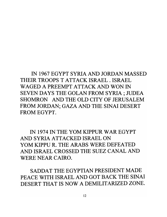IN 1967 EGYPT SYRIA AND JORDAN MASSED THEIR TROOPS T ATTACK ISRAEL. ISRAEL WAGED A PREEMPT ATTACK AND WON IN SEVEN DAYS THE GOLAN FROM SYRIA; JUDEA SHOMRON AND THE OLD CITY OF JERUSALEM FROM JORDAN; GAZA AND THE SINAI DESERT FROM EGYPT.

IN 1974 IN THE YOM KIPPUR WAR EGYPT AND SYRIA ATTACKED ISRAEL ON YOM KIPPU R. THE ARABS WERE DEFEATED AND ISRAEL CROSSED THE SUEZ CANAL AND WERE NEAR CAIRO.

SADDAT THE EGYPTIAN PRESIDENT MADE PEACE WITH ISRAEL AND GOT BACK THE SINAI DESERT THAT IS NOW A DEMILITARIZED ZONE.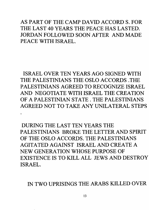AS PART OF THE CAMP DAVID ACCORD S. FOR THE LAST 40 YEARS THE PEACE HAS LASTED. JORDAN FOLLOWED SOON AFTER AND MADE PEACE WITH ISRAEL.

ISRAEL OVER TEN YEARS AGO SIGNED WITH THE PALESTINIANS THE OSLO ACCORDS .THE PALESTINIANS AGREED TO RECOGNIZE ISRAEL AND NEGOTIATE WITH ISRAEL THE CREATION OF A PALESTINIAN STATE. THE PALESTINIANS AGREED NOT TO TAKE ANY UNILATERAL STEPS

DURING THE LAST TEN YEARS THE PALESTINIANS BROKE THE LETTER AND SPIRIT OF THE OSLO ACCORDS. THE PALESTINIANS AGITATED AGAINST ISRAEL AND CREATE A NEW GENERATION WHOSE PURPOSE OF EXISTENCE IS TO KILL ALL JEWS AND DESTROY ISRAEL.

IN TWO UPRISINGS THE ARABS KILLED OVER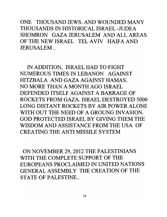ONE THOUSAND JEWS. AND WOUNDED MANY THOUSANDS IN HISTORICAL ISRAEL -JUDEA SHOMRON GAZA JERUSALEM AND ALL AREAS OF THE NEW ISRAEL TEL AVIV HAIFA AND JERUSALEM.

IN ADDITION, ISRAEL HAD TO FIGHT NUMEROUS TIMES IN LEBANON AGAINST HITZBALA AND GAZA AGAINST HAMAS. NO MORE THAN A MONTH AGO ISRAEL DEFENDED ITSELF AGAINST A BARRAGE OF ROCKETS FROM GAZA. ISRAEL DESTROYED 5000 LONG DISTANT ROCKETS BY AIR POWER ALONE WITH OUT THE NEED OF A GROUNG INVASION. GOD PROTECTED ISRAEL BY GIVING THEM THE WISDOM AND ASSISTANCE FROM THE USA OF CREATING THE ANTI MISSILE SYSTEM

ON NOVEMBER 29,2012 THE PALESTINIANS WITH THE COMPLETE SUPPORT OF THE EUROPEANS PROCLAIMED IN UNITED NATIONS GENERAL ASSEMBLY THE CREATION OF THE STATE OF PALESTINE..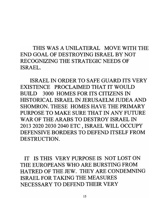## THIS WAS A UNILATERAL MOVE WITH THE END GOAL OF DESTROYING ISRAEL BY NOT RECOGNIZING THE STRATEGIC NEEDS OF ISRAEL.

ISRAEL IN ORDER TO SAFE GUARD ITS VERY EXISTENCE PROCLAIMED THAT IT WOULD BUILD 3000 HOMES FOR ITS CITIZENS IN HISTORICAL ISRAEL IN JERUSAELM JUDEA AND SHOMRON. THESE HOMES HAVE THE PRIMARY PURPOSE TO MAKE SURE THAT IN ANY FUTURE WAR OF THE ARABS TO DESTROY ISRAEL IN 2013 202020302040 ETC, ISRAEL WILL OCCUpy DEFENSIVE BORDERS TO DEFEND ITSELF FROM DESTRUCTION.

IT IS THIS VERY PURPOSE IS NOT LOST ON THE EUROPEANS WHO ARE BURSTING FROM HATRED OF THE JEW. THEY ARE CONDEMNING ISRAEL FOR TAKING THE MEASURES NECESSARY TO DEFEND THEIR VERY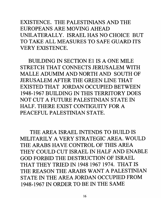EXISTENCE. THE PALESTINIANS AND THE EUROPEANS ARE MOVING AHEAD UNILATERALLY. ISRAEL HAS NO CHOICE BUT TO TAKE ALL MEASURES TO SAFE GUARD ITS VERY EXISTENCE.

BUILDING IN SECTION E1 IS A ONE MILE STRETCH THAT CONNECTS JERUSALEM WITH MALLE ADUMIM AND NORTH AND SOUTH OF JERUSALEM AFTER THE GREEN LINE THAT EXISTED THAT JORDAN OCCUPIED BETWEEN 1948-1967 BUILDING IN THIS TERRITORY DOES NOT CUT A FUTURE PALESTINIAN STATE IN HALF. THERE EXIST CONTIGUITY FOR A PEACEFUL PALESTINIAN STATE.

THE AREA ISRAEL INTENDS TO BUILD IS MILITARILY A VERY STRATEGIC AREA. WOULD THE ARABS HAVE CONTROL OF THIS AREA THEY COULD CUT ISRAEL IN HALF AND ENABLE GOD FORBID THE DESTRUCTION OF ISRAEL THAT THEY TRIED IN 1948 1967 1974. THAT IS THE REASON THE ARABS WANT A PALESTINIAN STATE IN THE AREA JORDAN OCCUPIED FROM 1948-1967 IN ORDER TO BE IN THE SAME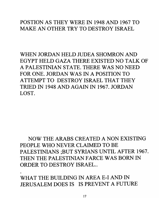### POSTION AS THEY WERE IN 1948 AND 1967 TO MAKE AN OTHER TRY TO DESTROY ISRAEL

WHEN JORDAN HELD JUDEA SHOMRON AND EGYPT HELD GAZA THERE EXISTED NO TALK OF A PALESTINIAN STATE. THERE WAS NO NEED FOR ONE. JORDAN WAS IN A POSITION TO ATTEMPT TO DESTROY ISRAEL THAT THEY TRIED IN 1948 AND AGAIN IN 1967. JORDAN LOST.

NOW THE ARABS CREATED A NON EXISTING PEOPLE WHO NEVER CLAIMED TO BE PALESTINIANS ;BUT SYRIANS UNTIL AFTER 1967. THEN THE PALESTINIAN FARCE WAS BORN IN ORDER TO DESTROY ISRAEL..

WHAT THE BUILDING IN AREA E-I AND IN JERUSALEM DOES IS IS PREVENT A FUTURE